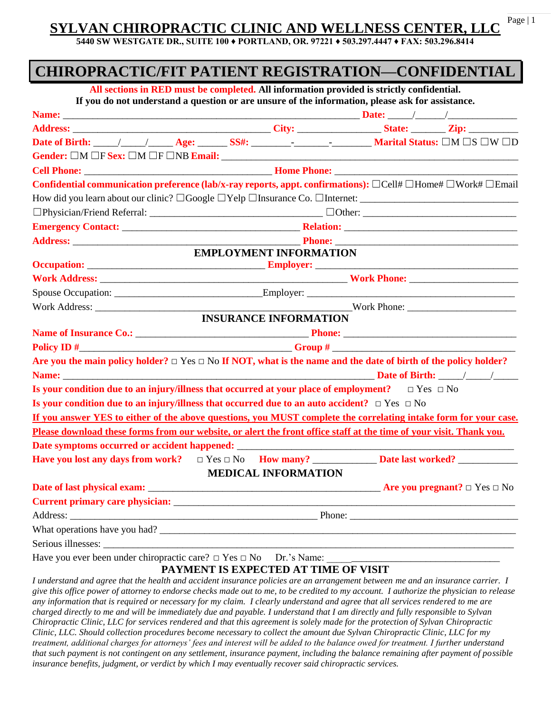# **SYLVAN CHIROPRACTIC CLINIC AND WELLNESS**

Page | 1

**5440 SW WESTGATE DR., SUITE 100 ♦ PORTLAND, OR. 97221 ♦ 503.297.4447 ♦ FAX: 503.296.8414**

# **CHIROPRACTIC/FIT PATIENT REGISTRATION—CONFIDENTIAL**

**All sections in RED must be completed. All information provided is strictly confidential.** 

| Confidential communication preference (lab/x-ray reports, appt. confirmations): $\Box$ Cell# $\Box$ Home# $\Box$ Work# $\Box$ Email<br><b>EMPLOYMENT INFORMATION</b> |  |
|----------------------------------------------------------------------------------------------------------------------------------------------------------------------|--|
|                                                                                                                                                                      |  |
|                                                                                                                                                                      |  |
|                                                                                                                                                                      |  |
|                                                                                                                                                                      |  |
|                                                                                                                                                                      |  |
|                                                                                                                                                                      |  |
|                                                                                                                                                                      |  |
|                                                                                                                                                                      |  |
|                                                                                                                                                                      |  |
|                                                                                                                                                                      |  |
|                                                                                                                                                                      |  |
|                                                                                                                                                                      |  |
|                                                                                                                                                                      |  |
|                                                                                                                                                                      |  |
| <b>INSURANCE INFORMATION</b>                                                                                                                                         |  |
|                                                                                                                                                                      |  |
|                                                                                                                                                                      |  |
| Are you the main policy holder? $\Box$ Yes $\Box$ No If NOT, what is the name and the date of birth of the policy holder?                                            |  |
|                                                                                                                                                                      |  |
| Is your condition due to an injury/illness that occurred at your place of employment? $\Box$ Yes $\Box$ No                                                           |  |
| Is your condition due to an injury/illness that occurred due to an auto accident? $\Box$ Yes $\Box$ No                                                               |  |
|                                                                                                                                                                      |  |
| If you answer YES to either of the above questions, you MUST complete the correlating intake form for your case.                                                     |  |
| Please download these forms from our website, or alert the front office staff at the time of your visit. Thank you.                                                  |  |
|                                                                                                                                                                      |  |
| <b>MEDICAL INFORMATION</b>                                                                                                                                           |  |
|                                                                                                                                                                      |  |
|                                                                                                                                                                      |  |
|                                                                                                                                                                      |  |
|                                                                                                                                                                      |  |
|                                                                                                                                                                      |  |
| Have you ever been under chiropractic care? $\Box$ Yes $\Box$ No Dr.'s Name:                                                                                         |  |

*I understand and agree that the health and accident insurance policies are an arrangement between me and an insurance carrier. I give this office power of attorney to endorse checks made out to me, to be credited to my account. I authorize the physician to release any information that is required or necessary for my claim. I clearly understand and agree that all services rendered to me are charged directly to me and will be immediately due and payable. I understand that I am directly and fully responsible to Sylvan Chiropractic Clinic, LLC for services rendered and that this agreement is solely made for the protection of Sylvan Chiropractic Clinic, LLC. Should collection procedures become necessary to collect the amount due Sylvan Chiropractic Clinic, LLC for my treatment, additional charges for attorneys' fees and interest will be added to the balance owed for treatment. I further understand that such payment is not contingent on any settlement, insurance payment, including the balance remaining after payment of possible insurance benefits, judgment, or verdict by which I may eventually recover said chiropractic services.*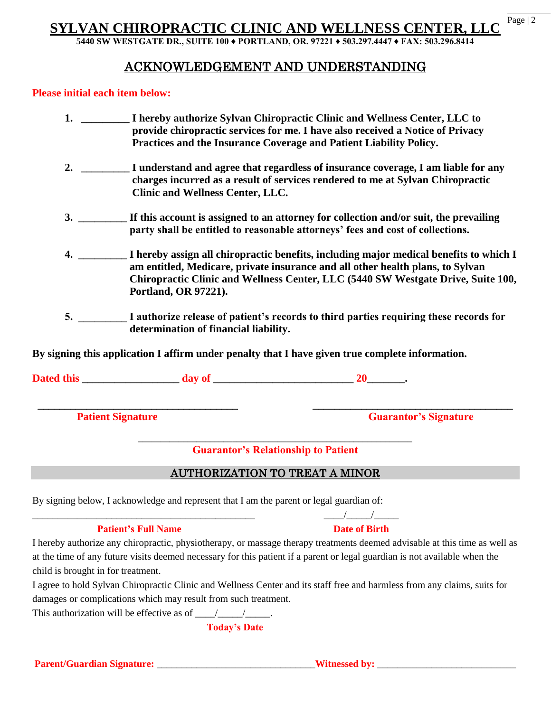**5440 SW WESTGATE DR., SUITE 100 ♦ PORTLAND, OR. 97221 ♦ 503.297.4447 ♦ FAX: 503.296.8414**

# ACKNOWLEDGEMENT AND UNDERSTANDING

### **Please initial each item below:**

- **1. \_\_\_\_\_\_\_\_\_ I hereby authorize Sylvan Chiropractic Clinic and Wellness Center, LLC to provide chiropractic services for me. I have also received a Notice of Privacy Practices and the Insurance Coverage and Patient Liability Policy.**
- **2. \_\_\_\_\_\_\_\_\_ I understand and agree that regardless of insurance coverage, I am liable for any charges incurred as a result of services rendered to me at Sylvan Chiropractic Clinic and Wellness Center, LLC.**
- **3. \_\_\_\_\_\_\_\_\_ If this account is assigned to an attorney for collection and/or suit, the prevailing party shall be entitled to reasonable attorneys' fees and cost of collections.**
- **4. \_\_\_\_\_\_\_\_\_ I hereby assign all chiropractic benefits, including major medical benefits to which I am entitled, Medicare, private insurance and all other health plans, to Sylvan Chiropractic Clinic and Wellness Center, LLC (5440 SW Westgate Drive, Suite 100, Portland, OR 97221).**
- **5. \_\_\_\_\_\_\_\_\_ I authorize release of patient's records to third parties requiring these records for determination of financial liability.**

**By signing this application I affirm under penalty that I have given true complete information.**

**Dated this \_\_\_\_\_\_\_\_\_\_\_\_\_\_\_\_\_\_ day of \_\_\_\_\_\_\_\_\_\_\_\_\_\_\_\_\_\_\_\_\_\_\_\_\_\_ 20\_\_\_\_\_\_\_.**

**Patient Signature Guarantor's Signature** 

#### \_\_\_\_\_\_\_\_\_\_\_\_\_\_\_\_\_\_\_\_\_\_\_\_\_\_\_\_\_\_\_\_\_\_\_\_\_\_\_\_\_\_\_\_\_\_\_\_\_\_\_\_\_\_\_\_\_\_\_\_\_ **Guarantor's Relationship to Patient**

\_\_\_\_\_\_\_\_\_\_\_\_\_\_\_\_\_\_\_\_\_\_\_\_\_\_\_\_\_\_\_\_\_\_\_\_\_ \_\_\_\_\_\_\_\_\_\_\_\_\_\_\_\_\_\_\_\_\_\_\_\_\_\_\_\_\_\_\_\_\_\_\_\_\_

# AUTHORIZATION TO TREAT A MINOR

By signing below, I acknowledge and represent that I am the parent or legal guardian of:

### **Patient's Full Name Date of Birth**

# $\overline{\phantom{a}}$   $\overline{\phantom{a}}$   $\overline{\phantom{a}}$   $\overline{\phantom{a}}$   $\overline{\phantom{a}}$   $\overline{\phantom{a}}$   $\overline{\phantom{a}}$   $\overline{\phantom{a}}$   $\overline{\phantom{a}}$   $\overline{\phantom{a}}$   $\overline{\phantom{a}}$   $\overline{\phantom{a}}$   $\overline{\phantom{a}}$   $\overline{\phantom{a}}$   $\overline{\phantom{a}}$   $\overline{\phantom{a}}$   $\overline{\phantom{a}}$   $\overline{\phantom{a}}$   $\overline{\$

I hereby authorize any chiropractic, physiotherapy, or massage therapy treatments deemed advisable at this time as well as at the time of any future visits deemed necessary for this patient if a parent or legal guardian is not available when the child is brought in for treatment.

I agree to hold Sylvan Chiropractic Clinic and Wellness Center and its staff free and harmless from any claims, suits for damages or complications which may result from such treatment.

This authorization will be effective as of  $\frac{\sqrt{2}}{2}$ .

**Today's Date**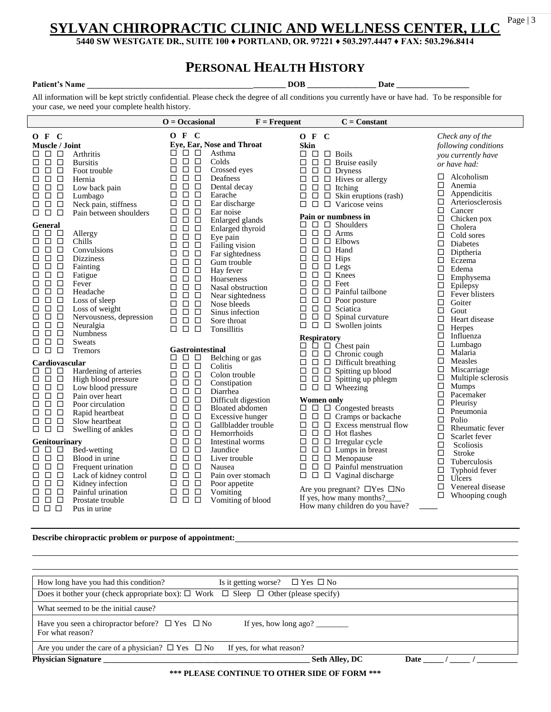**5440 SW WESTGATE DR., SUITE 100 ♦ PORTLAND, OR. 97221 ♦ 503.297.4447 ♦ FAX: 503.296.8414**

# **PERSONAL HEALTH HISTORY**

#### **Patient's Name \_\_\_\_\_\_\_\_\_\_\_\_\_\_\_\_\_\_\_\_\_\_\_\_\_\_\_\_\_\_\_\_\_\_\_\_\_\_\_\_\_\_\_\_\_\_\_\_\_ DOB \_\_\_\_\_\_\_\_\_\_\_\_\_\_\_\_\_ Date \_\_\_\_\_\_\_\_\_\_\_\_\_\_\_\_\_\_**

All information will be kept strictly confidential. Please check the degree of all conditions you currently have or have had. To be responsible for your case, we need your complete health history.

|                                                                        | $O = Occasional$                                                       | $F = Frequent$   | $C = Constant$                                               |                  |                                  |
|------------------------------------------------------------------------|------------------------------------------------------------------------|------------------|--------------------------------------------------------------|------------------|----------------------------------|
| $O$ F C                                                                | $O$ F C                                                                | $O$ F C          |                                                              |                  | Check any of the                 |
| Muscle / Joint                                                         | Eye, Ear, Nose and Throat                                              | <b>Skin</b>      |                                                              |                  | following conditions             |
| 88 B<br>Arthritis<br>$\Box$                                            | 000<br>Asthma                                                          |                  | $\Box$ $\Box$ $\Box$ Boils                                   |                  | you currently have               |
| $\Box$ $\Box$<br>$\Box$<br><b>Bursitis</b>                             | $\Box$ $\Box$ $\Box$<br>Colds                                          | $\Box$           | $\Box$ $\Box$ Bruise easily                                  |                  | or have had:                     |
| □<br>$\Box$ $\Box$<br>Foot trouble                                     | $\Box$<br>$\Box$<br>□<br>Crossed eyes                                  | $\Box$           | $\square$ $\square$ Dryness                                  |                  |                                  |
| $\Box$<br>$\Box$<br>□<br>Hernia                                        | $\Box$<br>$\Box$<br>□<br>Deafness                                      | $\Box$           | $\Box$ $\Box$ Hives or allergy                               | □                | Alcoholism                       |
| $\square$ $\square$<br>□<br>Low back pain                              | $\Box$<br>$\Box$<br>□<br>Dental decay                                  | □                | $\Box$ Itching                                               | □                | Anemia                           |
| $\Box$<br>□<br>$\Box$<br>Lumbago                                       | $\Box$<br>$\Box$<br>□<br>Earache                                       | □                | $\Box$ $\Box$ Skin eruptions (rash)                          | $\Box$<br>□      | Appendicitis<br>Arteriosclerosis |
| $\Box$ $\Box$<br>□<br>Neck pain, stiffness                             | $\Box$<br>$\Box$<br>Ear discharge<br>□                                 | П.               | $\square$ $\square$ Varicose veins                           | $\Box$           | Cancer                           |
| $\Box$<br>$\Box$<br>$\Box$<br>Pain between shoulders                   | $\Box$<br>$\Box$<br>□<br>Ear noise<br>$\Box$<br>$\Box$                 |                  | Pain or numbness in                                          | □                | Chicken pox                      |
| <b>General</b>                                                         | □<br>Enlarged glands<br>$\Box$<br>$\Box$<br>$\Box$<br>Enlarged thyroid |                  | $\Box$ $\Box$ Shoulders                                      | □                | Cholera                          |
| $\Box$ $\Box$<br>□<br>Allergy                                          | $\Box$<br>$\Box$<br>□<br>Eye pain                                      | $\Box$           | $\Box$ $\Box$ Arms                                           | $\Box$           | Cold sores                       |
| 000<br>Chills                                                          | $\Box$<br>$\Box$<br>$\Box$<br>Failing vision                           |                  | $\square$ $\square$ Elbows                                   | □                | Diabetes                         |
| $\Box$<br>$\Box$ $\Box$<br>Convulsions                                 | $\Box$<br>$\Box$<br>□<br>Far sightedness                               | $\Box$           | $\Box$ $\Box$ Hand                                           | $\Box$           | Diptheria                        |
| $\Box$<br>$\Box$<br>п<br><b>Dizziness</b>                              | $\Box$<br>$\Box$<br>□<br>Gum trouble                                   | □                | $\square$ $\square$ Hips                                     | □                | Eczema                           |
| $\Box$<br>$\Box$<br>□<br>Fainting                                      | $\Box$<br>$\Box$<br>□<br>Hay fever                                     | $\Box$           | $\square$ $\square$ Legs                                     | $\Box$           | Edema                            |
| $\Box$<br>$\Box$<br>□<br>Fatigue                                       | $\Box$<br>$\Box$<br>□<br>Hoarseness                                    | □                | $\Box$ $\Box$ Knees                                          | $\Box$           | Emphysema                        |
| $\Box$<br>$\Box$<br>□<br>Fever<br>$\Box$                               | $\Box$<br>$\Box$<br>□<br>Nasal obstruction                             | □                | $\Box$ $\Box$ Feet                                           | $\Box$           | Epilepsy                         |
| $\Box$<br>□<br>Headache<br>$\Box$<br>$\Box$<br>$\Box$<br>Loss of sleep | $\Box$<br>□<br>$\Box$<br>Near sightedness                              | $\Box$<br>$\Box$ | $\Box$ $\Box$ Painful tailbone<br>$\Box$ $\Box$ Poor posture | □                | Fever blisters                   |
| □<br>$\Box$<br>$\Box$<br>Loss of weight                                | $\Box$<br>$\Box$<br>$\Box$<br>Nose bleeds                              | $\Box$           | $\Box$ $\Box$ Sciatica                                       | □                | Goiter                           |
| $\Box$<br>$\Box$<br>□<br>Nervousness, depression                       | $\Box$<br>$\Box$<br>$\Box$<br>Sinus infection                          | $\Box$           | $\Box$ $\Box$ Spinal curvature                               | $\Box$           | Gout                             |
| $\Box$<br>$\Box$<br>$\Box$<br>Neuralgia                                | $\Box$<br>$\Box$<br>□<br>Sore throat                                   |                  | $\Box$ $\Box$ $\Box$ Swollen joints                          | $\Box$<br>$\Box$ | Heart disease                    |
| $\Box$<br>□<br>$\Box$<br><b>Numbness</b>                               | $\Box$<br>$\Box$<br>$\Box$<br>Tonsillitis                              |                  |                                                              | $\Box$           | Herpes<br>Influenza              |
| $\Box$<br>$\Box$<br>□<br>Sweats                                        |                                                                        |                  | <b>Respiratory</b>                                           | □                | Lumbago                          |
| П<br>$\Box$<br>$\Box$<br><b>Tremors</b>                                | <b>Gastrointestinal</b>                                                | □                | $\Box$ $\Box$ Chest pain<br>$\Box$ $\Box$ Chronic cough      | □                | Malaria                          |
| Cardiovascular                                                         | $\Box$ $\Box$<br>Belching or gas<br>□                                  | $\Box$           | $\Box$ $\Box$ Difficult breathing                            | □                | Measles                          |
| Hardening of arteries<br>$\Box$ $\Box$<br>0.                           | <b>000</b><br>Colitis                                                  | $\Box$           | $\Box$ $\Box$ Spitting up blood                              | □                | Miscarriage                      |
| $\Box$ $\Box$ $\Box$<br>High blood pressure                            | $\Box$<br>$\Box$<br>$\Box$<br>Colon trouble                            | $\Box$           | $\Box$ $\Box$ Spitting up phlegm                             | $\Box$           | Multiple sclerosis               |
| $\Box$<br>$\Box$ $\Box$<br>Low blood pressure                          | $\Box$<br>$\Box$<br>□<br>Constipation                                  |                  | $\Box$ $\Box$ Wheezing                                       | $\Box$           | <b>Mumps</b>                     |
| $\Box$<br>□<br>$\Box$<br>Pain over heart                               | $\Box$<br>$\Box$<br>$\Box$<br>Diarrhea<br>$\Box$<br>$\Box$<br>□        |                  |                                                              | $\Box$           | Pacemaker                        |
| $\Box$<br>$\Box$<br>$\Box$<br>Poor circulation                         | Difficult digestion<br>$\Box$<br>$\Box$<br>$\Box$<br>Bloated abdomen   |                  | <b>Women only</b><br>$\Box$ $\Box$ $\Box$ Congested breasts  | $\Box$           | Pleurisy                         |
| $\Box$<br>$\Box$<br>□<br>Rapid heartbeat                               | $\Box$<br>$\Box$<br>$\Box$<br>Excessive hunger                         |                  | $\Box$ $\Box$ $\Box$ Cramps or backache                      | $\Box$           | Pneumonia                        |
| $\Box$<br>$\Box$<br>□<br>Slow heartbeat                                | $\Box$<br>$\Box$<br>$\Box$<br>Gallbladder trouble                      |                  | $\Box$ $\Box$ $\Box$ Excess menstrual flow                   | $\Box$           | Polio                            |
| $\Box$<br>$\Box$<br>$\Box$<br>Swelling of ankles                       | $\Box$<br>$\Box$<br>$\Box$<br>Hemorrhoids                              | $\Box$           | $\square$ $\square$ Hot flashes                              | $\Box$           | Rheumatic fever                  |
| <b>Genitourinary</b>                                                   | $\Box$<br>$\Box$<br>$\Box$<br>Intestinal worms                         | $\Box$           | $\square$ $\square$ Irregular cycle                          | $\Box$<br>$\Box$ | Scarlet fever                    |
| Bed-wetting<br>000                                                     | $\Box$<br>$\Box$<br>□<br>Jaundice                                      | $\Box$           | $\Box$ $\Box$ Lumps in breast                                | $\Box$           | Scoliosis<br>Stroke              |
| $\Box$ $\Box$<br>Blood in urine<br>□                                   | $\Box$<br>$\Box$<br>□<br>Liver trouble                                 | $\Box$           | $\Box$ $\Box$ Menopause                                      | $\Box$           | Tuberculosis                     |
| $\Box$<br>$\Box$ $\Box$<br>Frequent urination                          | $\Box$<br>$\Box$<br>$\Box$<br>Nausea                                   | □                | $\Box$ $\Box$ Painful menstruation                           | $\Box$           | Typhoid fever                    |
| $\Box$<br>$\Box$<br>0.<br>Lack of kidney control                       | $\Box$<br>$\Box$<br>Pain over stomach                                  | □                | $\Box$ $\Box$ Vaginal discharge                              | $\Box$           | Ulcers                           |
| $\Box$<br>$\Box$<br>□<br>Kidney infection                              | $\Box$<br>$\Box$<br>$\Box$<br>Poor appetite                            |                  | Are you pregnant? □Yes □No                                   | $\Box$           | Venereal disease                 |
| $\Box$<br>$\Box$<br>Painful urination<br>□                             | $\Box$<br>$\Box$<br>$\Box$<br>Vomiting                                 |                  | If yes, how many months?                                     | □                | Whooping cough                   |
| $\Box$ $\Box$<br>□<br>Prostate trouble                                 | $\Box$<br>$\Box$<br>$\Box$<br>Vomiting of blood                        |                  | How many children do you have?                               |                  |                                  |
| $\Box$ $\Box$<br>□<br>Pus in urine                                     |                                                                        |                  |                                                              |                  |                                  |

**Describe chiropractic problem or purpose of appointment:**

**\*\*\* PLEASE CONTINUE TO OTHER SIDE OF FORM \*\*\***

Page | 3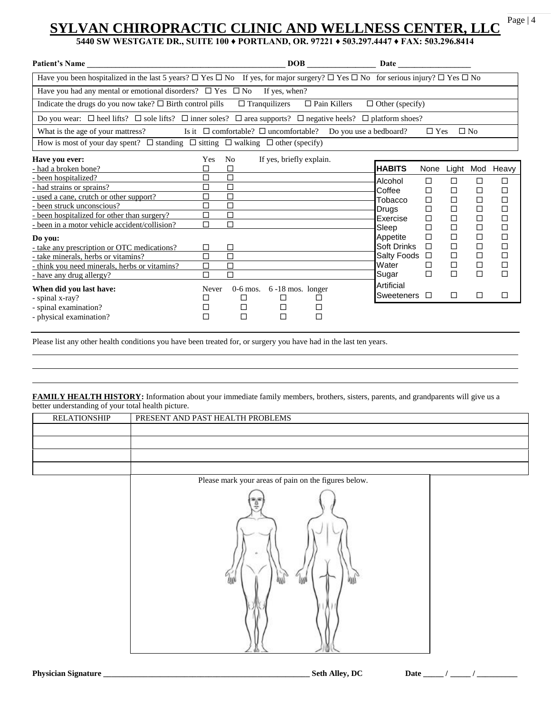**5440 SW WESTGATE DR., SUITE 100 ♦ PORTLAND, OR. 97221 ♦ 503.297.4447 ♦ FAX: 503.296.8414**

| <b>Patient's Name</b>                                                                                                                                         |              |                |                               |   |  |                          | DOB <b>DOB</b> | Date                            |        |        |                                               |        |
|---------------------------------------------------------------------------------------------------------------------------------------------------------------|--------------|----------------|-------------------------------|---|--|--------------------------|----------------|---------------------------------|--------|--------|-----------------------------------------------|--------|
| Have you been hospitalized in the last 5 years? $\Box$ Yes $\Box$ No If yes, for major surgery? $\Box$ Yes $\Box$ No for serious injury? $\Box$ Yes $\Box$ No |              |                |                               |   |  |                          |                |                                 |        |        |                                               |        |
| Have you had any mental or emotional disorders? $\square$ Yes $\square$ No If yes, when?                                                                      |              |                |                               |   |  |                          |                |                                 |        |        |                                               |        |
| Indicate the drugs do you now take? $\Box$ Birth control pills                                                                                                |              |                | $\Box$ Tranquilizers          |   |  | $\Box$ Pain Killers      |                | $\Box$ Other (specify)          |        |        |                                               |        |
| Do you wear: $\Box$ heel lifts? $\Box$ sole lifts? $\Box$ inner soles? $\Box$ area supports? $\Box$ negative heels? $\Box$ platform shoes?                    |              |                |                               |   |  |                          |                |                                 |        |        |                                               |        |
| Is it $\Box$ comfortable? $\Box$ uncomfortable? Do you use a bedboard?<br>$\square$ No<br>What is the age of your mattress?<br>$\Box$ Yes                     |              |                |                               |   |  |                          |                |                                 |        |        |                                               |        |
| How is most of your day spent? $\Box$ standing $\Box$ sitting $\Box$ walking $\Box$ other (specify)                                                           |              |                |                               |   |  |                          |                |                                 |        |        |                                               |        |
| Have you ever:                                                                                                                                                | Yes          | N <sub>o</sub> |                               |   |  | If yes, briefly explain. |                |                                 |        |        |                                               |        |
| - had a broken bone?                                                                                                                                          | $\Box$       |                |                               |   |  |                          |                | <b>HABITS</b>                   | None   | Light  | Mod                                           | Heavy  |
| - been hospitalized?                                                                                                                                          | $\Box$       | $\Box$         |                               |   |  |                          |                | Alcohol                         | □      | □      | □                                             | $\Box$ |
| - had strains or sprains?                                                                                                                                     | □            | $\Box$         |                               |   |  |                          |                | Coffee                          | $\Box$ | $\Box$ | $\Box$                                        | $\Box$ |
| - used a cane, crutch or other support?                                                                                                                       | П            | $\Box$         |                               |   |  |                          |                | Tobacco                         | $\Box$ | $\Box$ | $\Box$                                        | $\Box$ |
| - been struck unconscious?                                                                                                                                    | □            | $\Box$         |                               |   |  |                          |                | Drugs                           | $\Box$ | $\Box$ | $\Box$                                        | $\Box$ |
| - been hospitalized for other than surgery?                                                                                                                   | П            | $\Box$         |                               |   |  |                          |                | Exercise                        | $\Box$ | $\Box$ | $\Box$                                        | $\Box$ |
| - been in a motor vehicle accident/collision?                                                                                                                 | П            | $\Box$         |                               |   |  |                          |                | Sleep                           | $\Box$ | $\Box$ | $\Box$                                        | $\Box$ |
| Do you:                                                                                                                                                       |              |                |                               |   |  |                          |                | Appetite                        | $\Box$ | $\Box$ | $\Box$                                        | $\Box$ |
| - take any prescription or OTC medications?                                                                                                                   | п            | □              |                               |   |  |                          |                | Soft Drinks                     | $\Box$ | $\Box$ | $\Box$                                        | $\Box$ |
| - take minerals, herbs or vitamins?                                                                                                                           | $\Box$       | $\Box$         |                               |   |  |                          |                | Salty Foods                     | $\Box$ | $\Box$ | $\Box$                                        | $\Box$ |
| - think you need minerals, herbs or vitamins?                                                                                                                 | $\Box$       | $\Box$         |                               |   |  |                          |                | Water                           | □      | $\Box$ |                                               | $\Box$ |
| <u>- have any drug allergy?</u>                                                                                                                               | П            | $\Box$         |                               |   |  |                          |                | Sugar                           | $\Box$ | $\Box$ | $\begin{array}{c}\n\Box \\ \Box\n\end{array}$ | $\Box$ |
| When did you last have:<br>- spinal x-ray?                                                                                                                    | <b>Never</b> |                | $0-6$ mos. $6-18$ mos. longer |   |  | г                        |                | Artificial<br><b>Sweeteners</b> | $\Box$ | □      | □                                             | □      |
| - spinal examination?                                                                                                                                         |              |                | □                             |   |  | $\Box$                   |                |                                 |        |        |                                               |        |
| - physical examination?                                                                                                                                       | Π            |                | П                             | п |  | $\Box$                   |                |                                 |        |        |                                               |        |

Please list any other health conditions you have been treated for, or surgery you have had in the last ten years.

#### **FAMILY HEALTH HISTORY:** Information about your immediate family members, brothers, sisters, parents, and grandparents will give us a better understanding of your total health picture.

| PRESENT AND PAST HEALTH PROBLEMS |
|----------------------------------|
|                                  |
|                                  |
|                                  |
|                                  |
|                                  |
|                                  |

Please mark your areas of pain on the figures below.

I

Page | 4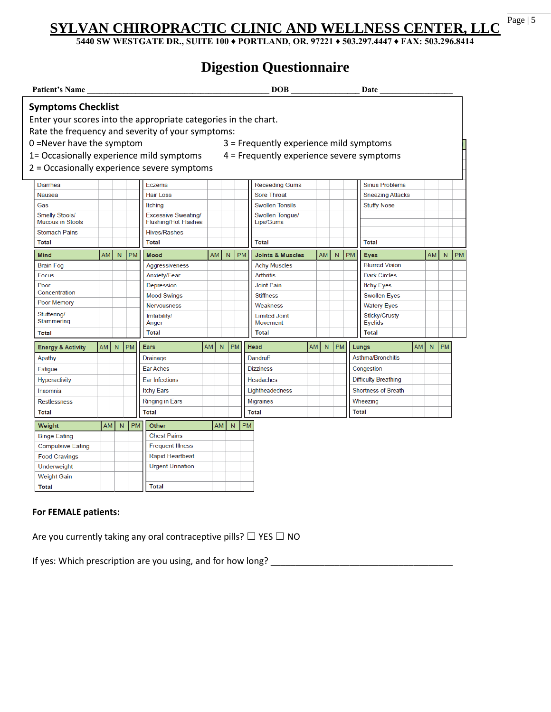**5440 SW WESTGATE DR., SUITE 100 ♦ PORTLAND, OR. 97221 ♦ 503.297.4447 ♦ FAX: 503.296.8414**

# **Digestion Questionnaire**

| <b>Patient's Name</b>                                                                                                                                                                                                      |  |           |              |           |                                                           |           |              |                                  |           | DOB                                       |           |      |                                 |           |                             |     |           |           |    |
|----------------------------------------------------------------------------------------------------------------------------------------------------------------------------------------------------------------------------|--|-----------|--------------|-----------|-----------------------------------------------------------|-----------|--------------|----------------------------------|-----------|-------------------------------------------|-----------|------|---------------------------------|-----------|-----------------------------|-----|-----------|-----------|----|
| <b>Symptoms Checklist</b><br>Enter your scores into the appropriate categories in the chart.<br>Rate the frequency and severity of your symptoms:<br>0 = Never have the symptom<br>3 = Frequently experience mild symptoms |  |           |              |           |                                                           |           |              |                                  |           |                                           |           |      |                                 |           |                             |     |           |           |    |
|                                                                                                                                                                                                                            |  |           |              |           | 1= Occasionally experience mild symptoms                  |           |              |                                  |           | 4 = Frequently experience severe symptoms |           |      |                                 |           |                             |     |           |           |    |
|                                                                                                                                                                                                                            |  |           |              |           | 2 = Occasionally experience severe symptoms               |           |              |                                  |           |                                           |           |      |                                 |           |                             |     |           |           |    |
| <b>Diarrhea</b>                                                                                                                                                                                                            |  |           |              |           | Eczema                                                    |           |              |                                  |           | <b>Receeding Gums</b>                     |           |      |                                 |           | <b>Sinus Problems</b>       |     |           |           |    |
| <b>Nausea</b>                                                                                                                                                                                                              |  |           |              |           | <b>Hair Loss</b>                                          |           |              |                                  |           | <b>Sore Throat</b>                        |           |      |                                 |           | <b>Sneezing Attacks</b>     |     |           |           |    |
| Gas                                                                                                                                                                                                                        |  |           |              |           | <b>Itching</b>                                            |           |              |                                  |           | <b>Swollen Tonsils</b>                    |           |      |                                 |           | <b>Stuffy Nose</b>          |     |           |           |    |
| <b>Smelly Stools/</b><br><b>Mucous in Stools</b>                                                                                                                                                                           |  |           |              |           | <b>Excessive Sweating/</b><br><b>Flushing/Hot Flashes</b> |           |              |                                  |           | Swollen Tongue/<br>Lips/Gums              |           |      |                                 |           |                             |     |           |           |    |
| <b>Stomach Pains</b>                                                                                                                                                                                                       |  |           |              |           | <b>Hives/Rashes</b>                                       |           |              |                                  |           |                                           |           |      |                                 |           |                             |     |           |           |    |
| <b>Total</b>                                                                                                                                                                                                               |  |           |              |           | <b>Total</b>                                              |           |              | Total                            |           |                                           |           |      | <b>Total</b>                    |           |                             |     |           |           |    |
| <b>Mind</b>                                                                                                                                                                                                                |  | AM        | N.           | <b>PM</b> | <b>Mood</b>                                               | AM        | N            |                                  | <b>PM</b> | <b>Joints &amp; Muscles</b>               |           | AM I | N.                              | <b>PM</b> | <b>Eyes</b>                 |     | AM        | N         | PM |
| <b>Brain Fog</b>                                                                                                                                                                                                           |  |           |              |           | Aggressiveness                                            |           |              |                                  |           | <b>Achy Muscles</b>                       |           |      |                                 |           | <b>Blurred Vision</b>       |     |           |           |    |
| Focus                                                                                                                                                                                                                      |  |           |              |           | Anxiety/Fear                                              |           |              |                                  |           | <b>Arthritis</b>                          |           |      |                                 |           | <b>Dark Circles</b>         |     |           |           |    |
| Poor                                                                                                                                                                                                                       |  |           |              |           | Depression                                                |           |              | <b>Joint Pain</b>                |           |                                           |           |      |                                 |           | <b>Itchy Eyes</b>           |     |           |           |    |
| Concentration                                                                                                                                                                                                              |  |           |              |           | <b>Mood Swings</b>                                        |           |              |                                  |           | <b>Stiffness</b>                          |           |      |                                 |           | <b>Swollen Eyes</b>         |     |           |           |    |
| Poor Memory                                                                                                                                                                                                                |  |           |              |           | <b>Nervousness</b>                                        |           |              |                                  |           | Weakness                                  |           |      |                                 |           | <b>Watery Eyes</b>          |     |           |           |    |
| Stuttering/<br>Stammering                                                                                                                                                                                                  |  |           |              |           | Irritability/<br>Anger                                    |           |              | <b>Limited Joint</b><br>Movement |           |                                           |           |      | Sticky/Crusty<br><b>Eyelids</b> |           |                             |     |           |           |    |
| Total                                                                                                                                                                                                                      |  |           |              |           | <b>Total</b>                                              |           | <b>Total</b> |                                  |           |                                           |           |      | <b>Total</b>                    |           |                             |     |           |           |    |
| <b>Energy &amp; Activity</b>                                                                                                                                                                                               |  | AM        | N            | <b>PM</b> | <b>Ears</b>                                               | <b>AM</b> | N            | <b>PM</b>                        |           | Head                                      | <b>AM</b> | N    | <b>PM</b>                       |           | Lungs                       | AMI | ${\sf N}$ | <b>PM</b> |    |
| Apathy                                                                                                                                                                                                                     |  |           |              |           | Drainage                                                  |           |              |                                  |           | Dandruff                                  |           |      |                                 |           | Asthma/Bronchitis           |     |           |           |    |
| Fatigue                                                                                                                                                                                                                    |  |           |              |           | <b>Ear Aches</b>                                          |           |              |                                  |           | <b>Dizziness</b>                          |           |      |                                 |           | Congestion                  |     |           |           |    |
| <b>Hyperactivity</b>                                                                                                                                                                                                       |  |           |              |           | <b>Ear Infections</b>                                     |           |              |                                  |           | <b>Headaches</b>                          |           |      |                                 |           | <b>Difficulty Breathing</b> |     |           |           |    |
| Insomnia                                                                                                                                                                                                                   |  |           |              |           | <b>Itchy Ears</b>                                         |           |              |                                  |           | Lightheadedness                           |           |      |                                 |           | <b>Shortness of Breath</b>  |     |           |           |    |
| <b>Restlessness</b>                                                                                                                                                                                                        |  |           |              |           | <b>Ringing in Ears</b>                                    |           |              |                                  |           | <b>Migraines</b>                          |           |      |                                 |           | Wheezing                    |     |           |           |    |
| <b>Total</b>                                                                                                                                                                                                               |  |           |              |           | <b>Total</b>                                              |           | <b>Total</b> |                                  |           |                                           |           |      |                                 |           | Total                       |     |           |           |    |
| Weight                                                                                                                                                                                                                     |  | <b>AM</b> | $\mathsf{N}$ | <b>PM</b> | Other                                                     |           | AM           | N                                | <b>PM</b> |                                           |           |      |                                 |           |                             |     |           |           |    |
| <b>Binge Eating</b>                                                                                                                                                                                                        |  |           |              |           | <b>Chest Pains</b>                                        |           |              |                                  |           |                                           |           |      |                                 |           |                             |     |           |           |    |
| <b>Compulsive Eating</b>                                                                                                                                                                                                   |  |           |              |           | <b>Frequent Illness</b>                                   |           |              |                                  |           |                                           |           |      |                                 |           |                             |     |           |           |    |
| <b>Food Cravings</b>                                                                                                                                                                                                       |  |           |              |           | <b>Rapid Heartbeat</b>                                    |           |              |                                  |           |                                           |           |      |                                 |           |                             |     |           |           |    |
| Underweight                                                                                                                                                                                                                |  |           |              |           | <b>Urgent Urination</b>                                   |           |              |                                  |           |                                           |           |      |                                 |           |                             |     |           |           |    |
| <b>Weight Gain</b>                                                                                                                                                                                                         |  |           |              |           |                                                           |           |              |                                  |           |                                           |           |      |                                 |           |                             |     |           |           |    |
| <b>Total</b>                                                                                                                                                                                                               |  |           |              |           | <b>Total</b>                                              |           |              |                                  |           |                                           |           |      |                                 |           |                             |     |           |           |    |

### **For FEMALE patients:**

Are you currently taking any oral contraceptive pills?  $\Box$  YES  $\Box$  NO

If yes: Which prescription are you using, and for how long? \_\_\_\_\_\_\_\_\_\_\_\_\_\_\_\_\_\_\_\_\_\_\_\_\_\_\_\_\_\_\_\_\_\_\_\_\_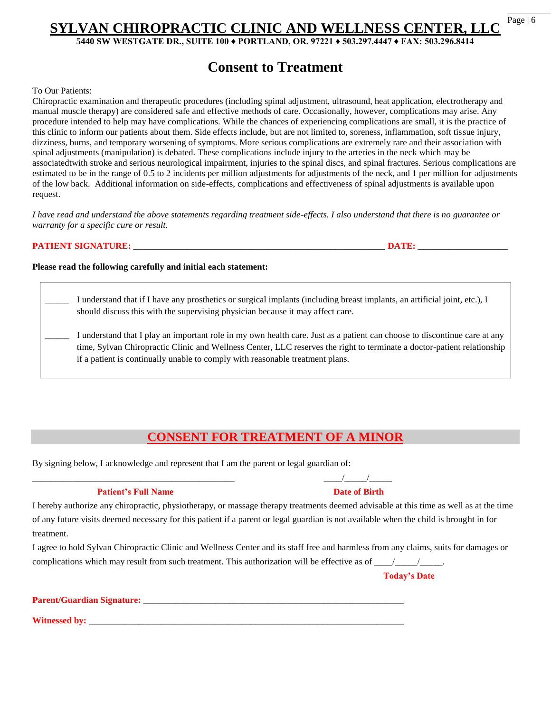# **Consent to Treatment**

**5440 SW WESTGATE DR., SUITE 100 ♦ PORTLAND, OR. 97221 ♦ 503.297.4447 ♦ FAX: 503.296.8414**

**SYLVAN CHIROPRACTIC CLINIC AND WELLNESS C** 

#### To Our Patients:

Chiropractic examination and therapeutic procedures (including spinal adjustment, ultrasound, heat application, electrotherapy and manual muscle therapy) are considered safe and effective methods of care. Occasionally, however, complications may arise. Any procedure intended to help may have complications. While the chances of experiencing complications are small, it is the practice of this clinic to inform our patients about them. Side effects include, but are not limited to, soreness, inflammation, soft tissue injury, dizziness, burns, and temporary worsening of symptoms. More serious complications are extremely rare and their association with spinal adjustments (manipulation) is debated. These complications include injury to the arteries in the neck which may be associatedtwith stroke and serious neurological impairment, injuries to the spinal discs, and spinal fractures. Serious complications are estimated to be in the range of 0.5 to 2 incidents per million adjustments for adjustments of the neck, and 1 per million for adjustments of the low back. Additional information on side-effects, complications and effectiveness of spinal adjustments is available upon request.

*I have read and understand the above statements regarding treatment side-effects. I also understand that there is no guarantee or warranty for a specific cure or result.*

#### **PATIENT SIGNATURE: \_\_\_\_\_\_\_\_\_\_\_\_\_\_\_\_\_\_\_\_\_\_\_\_\_\_\_\_\_\_\_\_\_\_\_\_\_\_\_\_\_\_\_\_\_\_\_\_\_\_\_\_\_\_\_\_ DATE: \_\_\_\_\_\_\_\_\_\_\_\_\_\_\_\_\_\_\_\_**

#### **Please read the following carefully and initial each statement:**

I understand that if I have any prosthetics or surgical implants (including breast implants, an artificial joint, etc.), I should discuss this with the supervising physician because it may affect care.

I understand that I play an important role in my own health care. Just as a patient can choose to discontinue care at any time, Sylvan Chiropractic Clinic and Wellness Center, LLC reserves the right to terminate a doctor-patient relationship if a patient is continually unable to comply with reasonable treatment plans.

### **CONSENT FOR TREATMENT OF A MINOR**

By signing below, I acknowledge and represent that I am the parent or legal guardian of:

**Parent/Guardian Signature:**  $\blacksquare$ 

#### **Patient's Full Name Date of Birth**

I hereby authorize any chiropractic, physiotherapy, or massage therapy treatments deemed advisable at this time as well as at the time of any future visits deemed necessary for this patient if a parent or legal guardian is not available when the child is brought in for treatment.

I agree to hold Sylvan Chiropractic Clinic and Wellness Center and its staff free and harmless from any claims, suits for damages or complications which may result from such treatment. This authorization will be effective as of  $\frac{1}{\sqrt{1-\frac{1}{\sqrt{1-\frac{1}{\sqrt{1-\frac{1}{\sqrt{1-\frac{1}{\sqrt{1-\frac{1}{\sqrt{1-\frac{1}{\sqrt{1-\frac{1}{\sqrt{1-\frac{1}{\sqrt{1-\frac{1}{\sqrt{1-\frac{1}{\sqrt{1-\frac{1}{\sqrt{1-\frac{1}{\sqrt{1-\frac{1}{\sqrt{$ 

**Today's Date**

Witnessed by: **witnessed by:**  $\blacksquare$ 

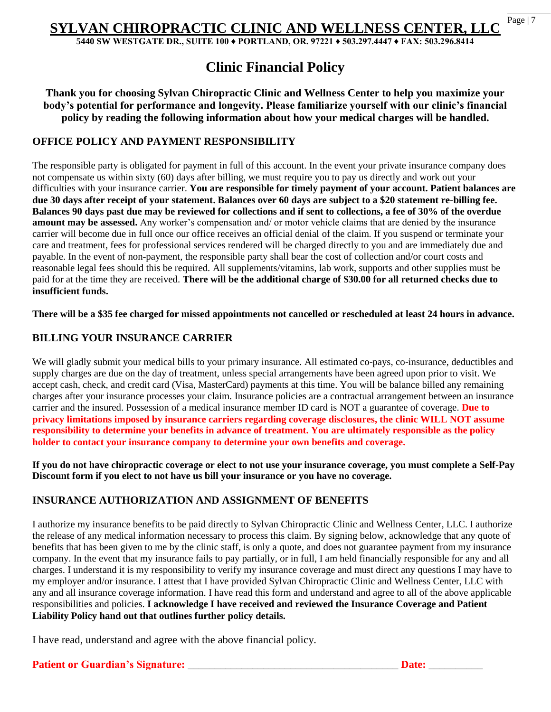**5440 SW WESTGATE DR., SUITE 100 ♦ PORTLAND, OR. 97221 ♦ 503.297.4447 ♦ FAX: 503.296.8414**

# **Clinic Financial Policy**

**Thank you for choosing Sylvan Chiropractic Clinic and Wellness Center to help you maximize your body's potential for performance and longevity. Please familiarize yourself with our clinic's financial policy by reading the following information about how your medical charges will be handled.**

## **OFFICE POLICY AND PAYMENT RESPONSIBILITY**

The responsible party is obligated for payment in full of this account. In the event your private insurance company does not compensate us within sixty (60) days after billing, we must require you to pay us directly and work out your difficulties with your insurance carrier. **You are responsible for timely payment of your account. Patient balances are due 30 days after receipt of your statement. Balances over 60 days are subject to a \$20 statement re-billing fee. Balances 90 days past due may be reviewed for collections and if sent to collections, a fee of 30% of the overdue amount may be assessed.** Any worker's compensation and/ or motor vehicle claims that are denied by the insurance carrier will become due in full once our office receives an official denial of the claim. If you suspend or terminate your care and treatment, fees for professional services rendered will be charged directly to you and are immediately due and payable. In the event of non-payment, the responsible party shall bear the cost of collection and/or court costs and reasonable legal fees should this be required. All supplements/vitamins, lab work, supports and other supplies must be paid for at the time they are received. **There will be the additional charge of \$30.00 for all returned checks due to insufficient funds.** 

**There will be a \$35 fee charged for missed appointments not cancelled or rescheduled at least 24 hours in advance.**

### **BILLING YOUR INSURANCE CARRIER**

We will gladly submit your medical bills to your primary insurance. All estimated co-pays, co-insurance, deductibles and supply charges are due on the day of treatment, unless special arrangements have been agreed upon prior to visit. We accept cash, check, and credit card (Visa, MasterCard) payments at this time. You will be balance billed any remaining charges after your insurance processes your claim. Insurance policies are a contractual arrangement between an insurance carrier and the insured. Possession of a medical insurance member ID card is NOT a guarantee of coverage. **Due to privacy limitations imposed by insurance carriers regarding coverage disclosures, the clinic WILL NOT assume responsibility to determine your benefits in advance of treatment. You are ultimately responsible as the policy holder to contact your insurance company to determine your own benefits and coverage.**

**If you do not have chiropractic coverage or elect to not use your insurance coverage, you must complete a Self-Pay Discount form if you elect to not have us bill your insurance or you have no coverage.**

### **INSURANCE AUTHORIZATION AND ASSIGNMENT OF BENEFITS**

I authorize my insurance benefits to be paid directly to Sylvan Chiropractic Clinic and Wellness Center, LLC. I authorize the release of any medical information necessary to process this claim. By signing below, acknowledge that any quote of benefits that has been given to me by the clinic staff, is only a quote, and does not guarantee payment from my insurance company. In the event that my insurance fails to pay partially, or in full, I am held financially responsible for any and all charges. I understand it is my responsibility to verify my insurance coverage and must direct any questions I may have to my employer and/or insurance. I attest that I have provided Sylvan Chiropractic Clinic and Wellness Center, LLC with any and all insurance coverage information. I have read this form and understand and agree to all of the above applicable responsibilities and policies. **I acknowledge I have received and reviewed the Insurance Coverage and Patient Liability Policy hand out that outlines further policy details.**

I have read, understand and agree with the above financial policy.

### **Patient or Guardian's Signature:** \_\_\_\_\_\_\_\_\_\_\_\_\_\_\_\_\_\_\_\_\_\_\_\_\_\_\_\_\_\_\_\_\_\_\_\_\_\_\_ **Date:** \_\_\_\_\_\_\_\_\_\_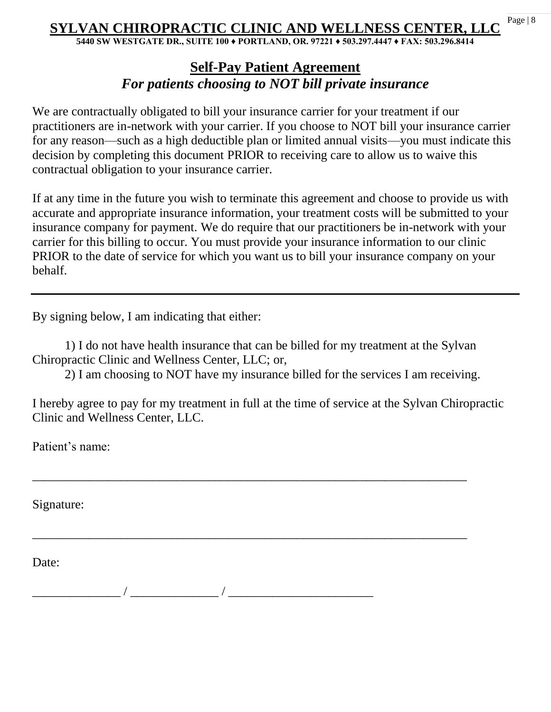**5440 SW WESTGATE DR., SUITE 100 ♦ PORTLAND, OR. 97221 ♦ 503.297.4447 ♦ FAX: 503.296.8414**

# **Self-Pay Patient Agreement** *For patients choosing to NOT bill private insurance*

We are contractually obligated to bill your insurance carrier for your treatment if our practitioners are in-network with your carrier. If you choose to NOT bill your insurance carrier for any reason—such as a high deductible plan or limited annual visits—you must indicate this decision by completing this document PRIOR to receiving care to allow us to waive this contractual obligation to your insurance carrier.

If at any time in the future you wish to terminate this agreement and choose to provide us with accurate and appropriate insurance information, your treatment costs will be submitted to your insurance company for payment. We do require that our practitioners be in-network with your carrier for this billing to occur. You must provide your insurance information to our clinic PRIOR to the date of service for which you want us to bill your insurance company on your behalf.

By signing below, I am indicating that either:

1) I do not have health insurance that can be billed for my treatment at the Sylvan Chiropractic Clinic and Wellness Center, LLC; or,

\_\_\_\_\_\_\_\_\_\_\_\_\_\_\_\_\_\_\_\_\_\_\_\_\_\_\_\_\_\_\_\_\_\_\_\_\_\_\_\_\_\_\_\_\_\_\_\_\_\_\_\_\_\_\_\_\_\_\_\_\_\_\_\_\_\_\_\_\_

\_\_\_\_\_\_\_\_\_\_\_\_\_\_\_\_\_\_\_\_\_\_\_\_\_\_\_\_\_\_\_\_\_\_\_\_\_\_\_\_\_\_\_\_\_\_\_\_\_\_\_\_\_\_\_\_\_\_\_\_\_\_\_\_\_\_\_\_\_

2) I am choosing to NOT have my insurance billed for the services I am receiving.

I hereby agree to pay for my treatment in full at the time of service at the Sylvan Chiropractic Clinic and Wellness Center, LLC.

Patient's name:

Signature:

Date:

 $\overline{\phantom{a}}$  /  $\overline{\phantom{a}}$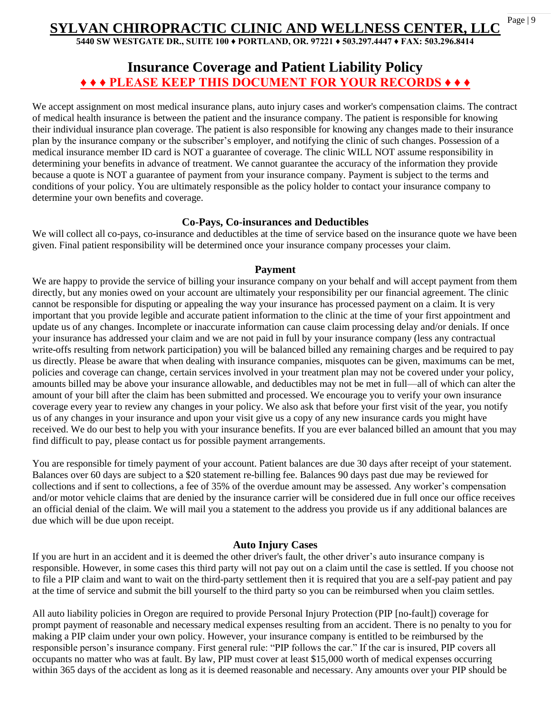**5440 SW WESTGATE DR., SUITE 100 ♦ PORTLAND, OR. 97221 ♦ 503.297.4447 ♦ FAX: 503.296.8414**

# **Insurance Coverage and Patient Liability Policy ♦ ♦ ♦ PLEASE KEEP THIS DOCUMENT FOR YOUR RECORDS ♦ ♦ ♦**

We accept assignment on most medical insurance plans, auto injury cases and worker's compensation claims. The contract of medical health insurance is between the patient and the insurance company. The patient is responsible for knowing their individual insurance plan coverage. The patient is also responsible for knowing any changes made to their insurance plan by the insurance company or the subscriber's employer, and notifying the clinic of such changes. Possession of a medical insurance member ID card is NOT a guarantee of coverage. The clinic WILL NOT assume responsibility in determining your benefits in advance of treatment. We cannot guarantee the accuracy of the information they provide because a quote is NOT a guarantee of payment from your insurance company. Payment is subject to the terms and conditions of your policy. You are ultimately responsible as the policy holder to contact your insurance company to determine your own benefits and coverage.

### **Co-Pays, Co-insurances and Deductibles**

We will collect all co-pays, co-insurance and deductibles at the time of service based on the insurance quote we have been given. Final patient responsibility will be determined once your insurance company processes your claim.

### **Payment**

We are happy to provide the service of billing your insurance company on your behalf and will accept payment from them directly, but any monies owed on your account are ultimately your responsibility per our financial agreement. The clinic cannot be responsible for disputing or appealing the way your insurance has processed payment on a claim. It is very important that you provide legible and accurate patient information to the clinic at the time of your first appointment and update us of any changes. Incomplete or inaccurate information can cause claim processing delay and/or denials. If once your insurance has addressed your claim and we are not paid in full by your insurance company (less any contractual write-offs resulting from network participation) you will be balanced billed any remaining charges and be required to pay us directly. Please be aware that when dealing with insurance companies, misquotes can be given, maximums can be met, policies and coverage can change, certain services involved in your treatment plan may not be covered under your policy, amounts billed may be above your insurance allowable, and deductibles may not be met in full—all of which can alter the amount of your bill after the claim has been submitted and processed. We encourage you to verify your own insurance coverage every year to review any changes in your policy. We also ask that before your first visit of the year, you notify us of any changes in your insurance and upon your visit give us a copy of any new insurance cards you might have received. We do our best to help you with your insurance benefits. If you are ever balanced billed an amount that you may find difficult to pay, please contact us for possible payment arrangements.

You are responsible for timely payment of your account. Patient balances are due 30 days after receipt of your statement. Balances over 60 days are subject to a \$20 statement re-billing fee. Balances 90 days past due may be reviewed for collections and if sent to collections, a fee of 35% of the overdue amount may be assessed. Any worker's compensation and/or motor vehicle claims that are denied by the insurance carrier will be considered due in full once our office receives an official denial of the claim. We will mail you a statement to the address you provide us if any additional balances are due which will be due upon receipt.

### **Auto Injury Cases**

If you are hurt in an accident and it is deemed the other driver's fault, the other driver's auto insurance company is responsible. However, in some cases this third party will not pay out on a claim until the case is settled. If you choose not to file a PIP claim and want to wait on the third-party settlement then it is required that you are a self-pay patient and pay at the time of service and submit the bill yourself to the third party so you can be reimbursed when you claim settles.

All auto liability policies in Oregon are required to provide Personal Injury Protection (PIP [no-fault]) coverage for prompt payment of reasonable and necessary medical expenses resulting from an accident. There is no penalty to you for making a PIP claim under your own policy. However, your insurance company is entitled to be reimbursed by the responsible person's insurance company. First general rule: "PIP follows the car." If the car is insured, PIP covers all occupants no matter who was at fault. By law, PIP must cover at least \$15,000 worth of medical expenses occurring within 365 days of the accident as long as it is deemed reasonable and necessary. Any amounts over your PIP should be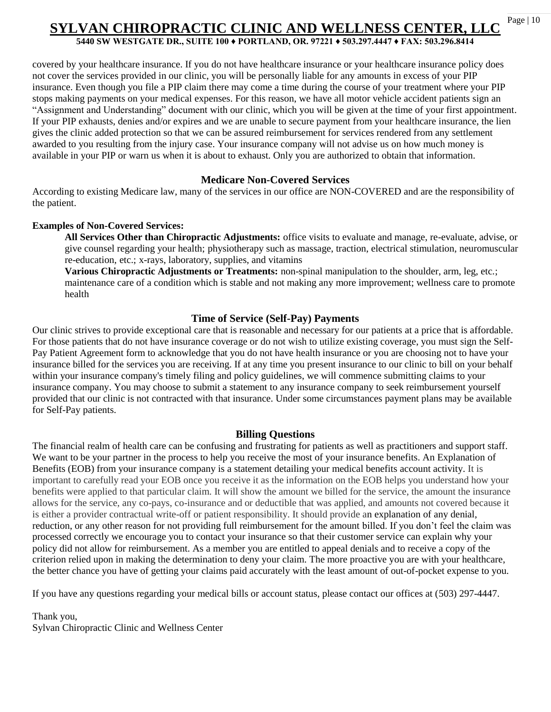**5440 SW WESTGATE DR., SUITE 100 ♦ PORTLAND, OR. 97221 ♦ 503.297.4447 ♦ FAX: 503.296.8414**

covered by your healthcare insurance. If you do not have healthcare insurance or your healthcare insurance policy does not cover the services provided in our clinic, you will be personally liable for any amounts in excess of your PIP insurance. Even though you file a PIP claim there may come a time during the course of your treatment where your PIP stops making payments on your medical expenses. For this reason, we have all motor vehicle accident patients sign an "Assignment and Understanding" document with our clinic, which you will be given at the time of your first appointment. If your PIP exhausts, denies and/or expires and we are unable to secure payment from your healthcare insurance, the lien gives the clinic added protection so that we can be assured reimbursement for services rendered from any settlement awarded to you resulting from the injury case. Your insurance company will not advise us on how much money is available in your PIP or warn us when it is about to exhaust. Only you are authorized to obtain that information.

### **Medicare Non-Covered Services**

According to existing Medicare law, many of the services in our office are NON-COVERED and are the responsibility of the patient.

### **Examples of Non-Covered Services:**

**All Services Other than Chiropractic Adjustments:** office visits to evaluate and manage, re-evaluate, advise, or give counsel regarding your health; physiotherapy such as massage, traction, electrical stimulation, neuromuscular re-education, etc.; x-rays, laboratory, supplies, and vitamins

**Various Chiropractic Adjustments or Treatments:** non-spinal manipulation to the shoulder, arm, leg, etc.; maintenance care of a condition which is stable and not making any more improvement; wellness care to promote health

### **Time of Service (Self-Pay) Payments**

Our clinic strives to provide exceptional care that is reasonable and necessary for our patients at a price that is affordable. For those patients that do not have insurance coverage or do not wish to utilize existing coverage, you must sign the Self-Pay Patient Agreement form to acknowledge that you do not have health insurance or you are choosing not to have your insurance billed for the services you are receiving. If at any time you present insurance to our clinic to bill on your behalf within your insurance company's timely filing and policy guidelines, we will commence submitting claims to your insurance company. You may choose to submit a statement to any insurance company to seek reimbursement yourself provided that our clinic is not contracted with that insurance. Under some circumstances payment plans may be available for Self-Pay patients.

### **Billing Questions**

The financial realm of health care can be confusing and frustrating for patients as well as practitioners and support staff. We want to be your partner in the process to help you receive the most of your insurance benefits. An Explanation of Benefits (EOB) from your insurance company is a statement detailing your medical benefits account activity. It is important to carefully read your EOB once you receive it as the information on the EOB helps you understand how your benefits were applied to that particular claim. It will show the amount we billed for the service, the amount the insurance allows for the service, any co-pays, co-insurance and or deductible that was applied, and amounts not covered because it is either a provider contractual write-off or patient responsibility. It should provide an explanation of any denial, reduction, or any other reason for not providing full reimbursement for the amount billed. If you don't feel the claim was processed correctly we encourage you to contact your insurance so that their customer service can explain why your policy did not allow for reimbursement. As a member you are entitled to appeal denials and to receive a copy of the criterion relied upon in making the determination to deny your claim. The more proactive you are with your healthcare, the better chance you have of getting your claims paid accurately with the least amount of out-of-pocket expense to you.

If you have any questions regarding your medical bills or account status, please contact our offices at (503) 297-4447.

Thank you, Sylvan Chiropractic Clinic and Wellness Center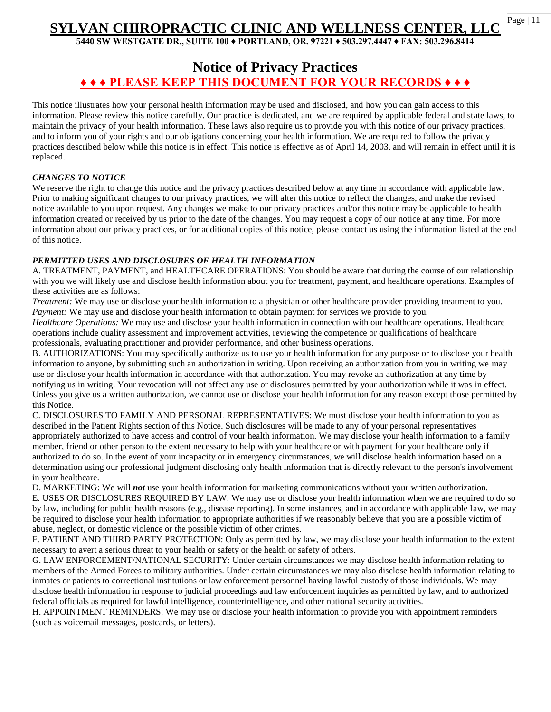**5440 SW WESTGATE DR., SUITE 100 ♦ PORTLAND, OR. 97221 ♦ 503.297.4447 ♦ FAX: 503.296.8414**

# **Notice of Privacy Practices ♦ ♦ ♦ PLEASE KEEP THIS DOCUMENT FOR YOUR RECORDS ♦ ♦ ♦**

This notice illustrates how your personal health information may be used and disclosed, and how you can gain access to this information. Please review this notice carefully. Our practice is dedicated, and we are required by applicable federal and state laws, to maintain the privacy of your health information. These laws also require us to provide you with this notice of our privacy practices, and to inform you of your rights and our obligations concerning your health information. We are required to follow the privacy practices described below while this notice is in effect. This notice is effective as of April 14, 2003, and will remain in effect until it is replaced.

### *CHANGES TO NOTICE*

We reserve the right to change this notice and the privacy practices described below at any time in accordance with applicable law. Prior to making significant changes to our privacy practices, we will alter this notice to reflect the changes, and make the revised notice available to you upon request. Any changes we make to our privacy practices and/or this notice may be applicable to health information created or received by us prior to the date of the changes. You may request a copy of our notice at any time. For more information about our privacy practices, or for additional copies of this notice, please contact us using the information listed at the end of this notice.

### *PERMITTED USES AND DISCLOSURES OF HEALTH INFORMATION*

A. TREATMENT, PAYMENT, and HEALTHCARE OPERATIONS: You should be aware that during the course of our relationship with you we will likely use and disclose health information about you for treatment, payment, and healthcare operations. Examples of these activities are as follows:

*Treatment:* We may use or disclose your health information to a physician or other healthcare provider providing treatment to you. *Payment:* We may use and disclose your health information to obtain payment for services we provide to you.

*Healthcare Operations:* We may use and disclose your health information in connection with our healthcare operations. Healthcare operations include quality assessment and improvement activities, reviewing the competence or qualifications of healthcare professionals, evaluating practitioner and provider performance, and other business operations.

B. AUTHORIZATIONS: You may specifically authorize us to use your health information for any purpose or to disclose your health information to anyone, by submitting such an authorization in writing. Upon receiving an authorization from you in writing we may use or disclose your health information in accordance with that authorization. You may revoke an authorization at any time by notifying us in writing. Your revocation will not affect any use or disclosures permitted by your authorization while it was in effect. Unless you give us a written authorization, we cannot use or disclose your health information for any reason except those permitted by this Notice.

C. DISCLOSURES TO FAMILY AND PERSONAL REPRESENTATIVES: We must disclose your health information to you as described in the Patient Rights section of this Notice. Such disclosures will be made to any of your personal representatives appropriately authorized to have access and control of your health information. We may disclose your health information to a family member, friend or other person to the extent necessary to help with your healthcare or with payment for your healthcare only if authorized to do so. In the event of your incapacity or in emergency circumstances, we will disclose health information based on a determination using our professional judgment disclosing only health information that is directly relevant to the person's involvement in your healthcare.

D. MARKETING: We will *not* use your health information for marketing communications without your written authorization. E. USES OR DISCLOSURES REQUIRED BY LAW: We may use or disclose your health information when we are required to do so by law, including for public health reasons (e.g., disease reporting). In some instances, and in accordance with applicable law, we may be required to disclose your health information to appropriate authorities if we reasonably believe that you are a possible victim of abuse, neglect, or domestic violence or the possible victim of other crimes.

F. PATIENT AND THIRD PARTY PROTECTION: Only as permitted by law, we may disclose your health information to the extent necessary to avert a serious threat to your health or safety or the health or safety of others.

G. LAW ENFORCEMENT/NATIONAL SECURITY: Under certain circumstances we may disclose health information relating to members of the Armed Forces to military authorities. Under certain circumstances we may also disclose health information relating to inmates or patients to correctional institutions or law enforcement personnel having lawful custody of those individuals. We may disclose health information in response to judicial proceedings and law enforcement inquiries as permitted by law, and to authorized federal officials as required for lawful intelligence, counterintelligence, and other national security activities.

H. APPOINTMENT REMINDERS: We may use or disclose your health information to provide you with appointment reminders (such as voicemail messages, postcards, or letters).